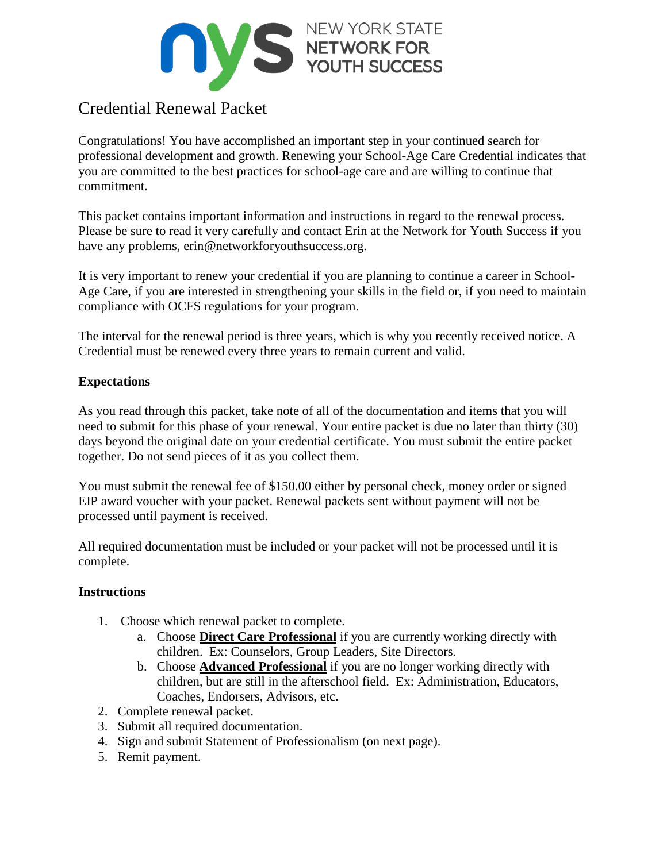

# Credential Renewal Packet

Congratulations! You have accomplished an important step in your continued search for professional development and growth. Renewing your School-Age Care Credential indicates that you are committed to the best practices for school-age care and are willing to continue that commitment.

This packet contains important information and instructions in regard to the renewal process. Please be sure to read it very carefully and contact Erin at the Network for Youth Success if you have any problems, erin@networkforyouthsuccess.org.

It is very important to renew your credential if you are planning to continue a career in School-Age Care, if you are interested in strengthening your skills in the field or, if you need to maintain compliance with OCFS regulations for your program.

The interval for the renewal period is three years, which is why you recently received notice. A Credential must be renewed every three years to remain current and valid.

# **Expectations**

As you read through this packet, take note of all of the documentation and items that you will need to submit for this phase of your renewal. Your entire packet is due no later than thirty (30) days beyond the original date on your credential certificate. You must submit the entire packet together. Do not send pieces of it as you collect them.

You must submit the renewal fee of \$150.00 either by personal check, money order or signed EIP award voucher with your packet. Renewal packets sent without payment will not be processed until payment is received.

All required documentation must be included or your packet will not be processed until it is complete.

#### **Instructions**

- 1. Choose which renewal packet to complete.
	- a. Choose **Direct Care Professional** if you are currently working directly with children. Ex: Counselors, Group Leaders, Site Directors.
	- b. Choose **Advanced Professional** if you are no longer working directly with children, but are still in the afterschool field. Ex: Administration, Educators, Coaches, Endorsers, Advisors, etc.
- 2. Complete renewal packet.
- 3. Submit all required documentation.
- 4. Sign and submit Statement of Professionalism (on next page).
- 5. Remit payment.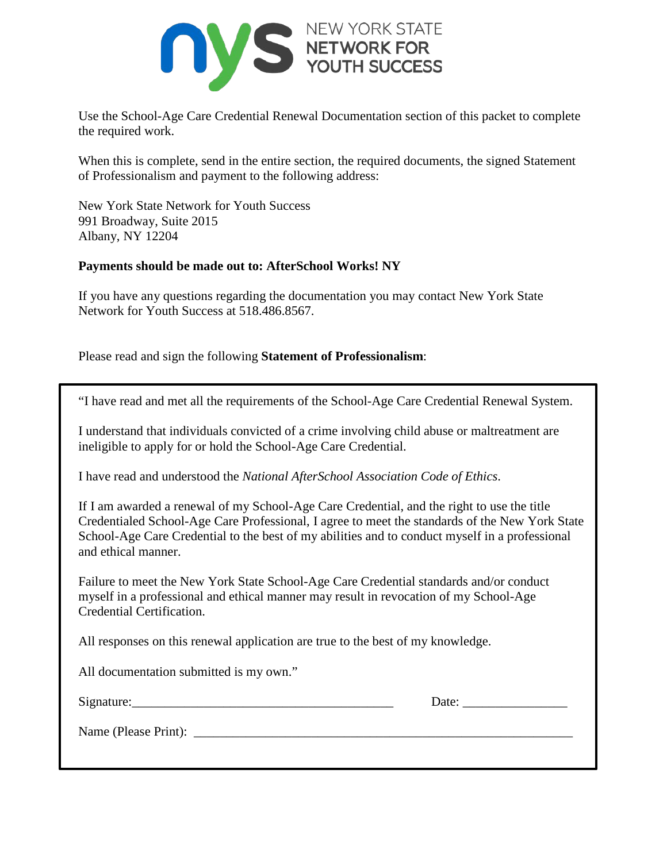

Use the School-Age Care Credential Renewal Documentation section of this packet to complete the required work.

When this is complete, send in the entire section, the required documents, the signed Statement of Professionalism and payment to the following address:

New York State Network for Youth Success 991 Broadway, Suite 2015 Albany, NY 12204

#### **Payments should be made out to: AfterSchool Works! NY**

If you have any questions regarding the documentation you may contact New York State Network for Youth Success at 518.486.8567.

Please read and sign the following **Statement of Professionalism**:

| "I have read and met all the requirements of the School-Age Care Credential Renewal System. |  |  |  |  |
|---------------------------------------------------------------------------------------------|--|--|--|--|
|                                                                                             |  |  |  |  |

I understand that individuals convicted of a crime involving child abuse or maltreatment are ineligible to apply for or hold the School-Age Care Credential.

I have read and understood the *National AfterSchool Association Code of Ethics*.

If I am awarded a renewal of my School-Age Care Credential, and the right to use the title Credentialed School-Age Care Professional, I agree to meet the standards of the New York State School-Age Care Credential to the best of my abilities and to conduct myself in a professional and ethical manner.

Failure to meet the New York State School-Age Care Credential standards and/or conduct myself in a professional and ethical manner may result in revocation of my School-Age Credential Certification.

All responses on this renewal application are true to the best of my knowledge.

All documentation submitted is my own."

| Signature: |
|------------|
|------------|

 $\Box$  Date:

Name (Please Print): \_\_\_\_\_\_\_\_\_\_\_\_\_\_\_\_\_\_\_\_\_\_\_\_\_\_\_\_\_\_\_\_\_\_\_\_\_\_\_\_\_\_\_\_\_\_\_\_\_\_\_\_\_\_\_\_\_\_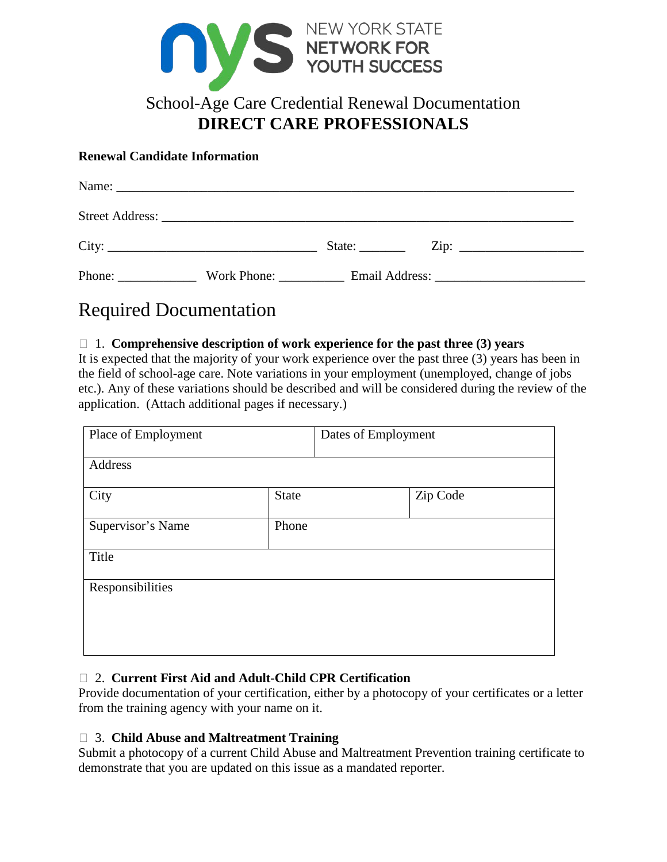

# School-Age Care Credential Renewal Documentation **DIRECT CARE PROFESSIONALS**

#### **Renewal Candidate Information**

|        |             | State: | $\overline{\mathrm{Zip: }}$ |
|--------|-------------|--------|-----------------------------|
| Phone: | Work Phone: |        |                             |

# Required Documentation

#### 1. **Comprehensive description of work experience for the past three (3) years**

It is expected that the majority of your work experience over the past three (3) years has been in the field of school-age care. Note variations in your employment (unemployed, change of jobs etc.). Any of these variations should be described and will be considered during the review of the application. (Attach additional pages if necessary.)

| Place of Employment        |              | Dates of Employment |          |  |
|----------------------------|--------------|---------------------|----------|--|
| Address                    |              |                     |          |  |
| City                       | <b>State</b> |                     | Zip Code |  |
| Supervisor's Name<br>Phone |              |                     |          |  |
| Title                      |              |                     |          |  |
| Responsibilities           |              |                     |          |  |
|                            |              |                     |          |  |
|                            |              |                     |          |  |

# 2. **Current First Aid and Adult-Child CPR Certification**

Provide documentation of your certification, either by a photocopy of your certificates or a letter from the training agency with your name on it.

#### 3. **Child Abuse and Maltreatment Training**

Submit a photocopy of a current Child Abuse and Maltreatment Prevention training certificate to demonstrate that you are updated on this issue as a mandated reporter.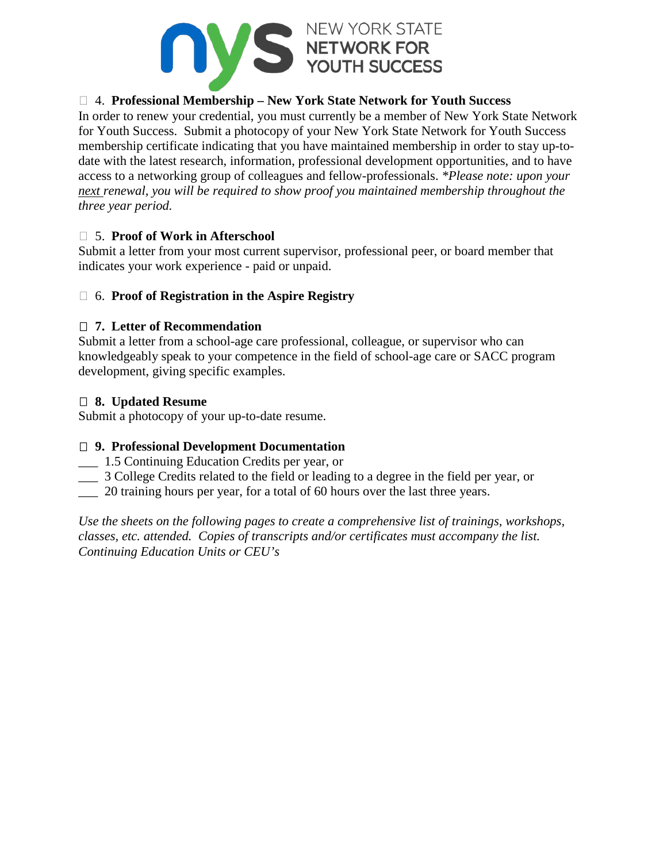

### 4. **Professional Membership – New York State Network for Youth Success**

In order to renew your credential, you must currently be a member of New York State Network for Youth Success. Submit a photocopy of your New York State Network for Youth Success membership certificate indicating that you have maintained membership in order to stay up-todate with the latest research, information, professional development opportunities, and to have access to a networking group of colleagues and fellow-professionals. *\*Please note: upon your next renewal, you will be required to show proof you maintained membership throughout the three year period.*

#### 5. **Proof of Work in Afterschool**

Submit a letter from your most current supervisor, professional peer, or board member that indicates your work experience - paid or unpaid.

#### 6. **Proof of Registration in the Aspire Registry**

#### **7. Letter of Recommendation**

Submit a letter from a school-age care professional, colleague, or supervisor who can knowledgeably speak to your competence in the field of school-age care or SACC program development, giving specific examples.

#### **8. Updated Resume**

Submit a photocopy of your up-to-date resume.

#### **9. Professional Development Documentation**

- \_\_\_ 1.5 Continuing Education Credits per year, or
- \_\_\_ 3 College Credits related to the field or leading to a degree in the field per year, or
- \_\_\_ 20 training hours per year, for a total of 60 hours over the last three years.

*Use the sheets on the following pages to create a comprehensive list of trainings, workshops, classes, etc. attended. Copies of transcripts and/or certificates must accompany the list. Continuing Education Units or CEU's*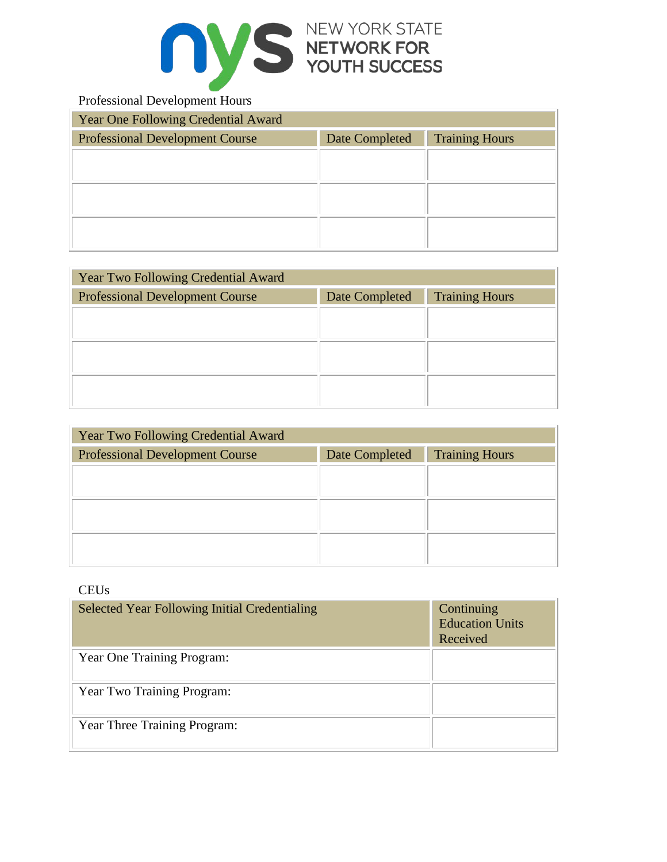

## Professional Development Hours

| Year One Following Credential Award                                               |  |  |  |  |
|-----------------------------------------------------------------------------------|--|--|--|--|
| <b>Professional Development Course</b><br><b>Training Hours</b><br>Date Completed |  |  |  |  |
|                                                                                   |  |  |  |  |
|                                                                                   |  |  |  |  |
|                                                                                   |  |  |  |  |
|                                                                                   |  |  |  |  |
|                                                                                   |  |  |  |  |
|                                                                                   |  |  |  |  |

| <b>Year Two Following Credential Award</b> |                |                       |  |  |
|--------------------------------------------|----------------|-----------------------|--|--|
| <b>Professional Development Course</b>     | Date Completed | <b>Training Hours</b> |  |  |
|                                            |                |                       |  |  |
|                                            |                |                       |  |  |
|                                            |                |                       |  |  |
|                                            |                |                       |  |  |
|                                            |                |                       |  |  |

| Year Two Following Credential Award                                               |  |  |  |  |
|-----------------------------------------------------------------------------------|--|--|--|--|
| <b>Training Hours</b><br>Date Completed<br><b>Professional Development Course</b> |  |  |  |  |
|                                                                                   |  |  |  |  |
|                                                                                   |  |  |  |  |
|                                                                                   |  |  |  |  |
|                                                                                   |  |  |  |  |
|                                                                                   |  |  |  |  |

### **CEUs**

| <b>Selected Year Following Initial Credentialing</b> | Continuing<br><b>Education Units</b><br>Received |
|------------------------------------------------------|--------------------------------------------------|
| Year One Training Program:                           |                                                  |
| Year Two Training Program:                           |                                                  |
| Year Three Training Program:                         |                                                  |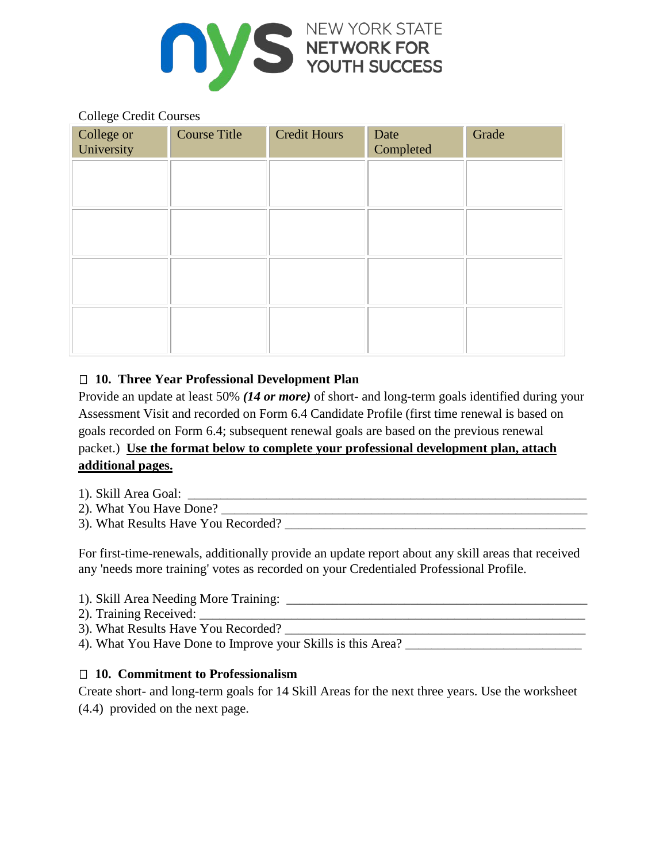

#### College Credit Courses

| College or<br>University | <b>Course Title</b> | <b>Credit Hours</b> | Date<br>Completed | Grade |
|--------------------------|---------------------|---------------------|-------------------|-------|
|                          |                     |                     |                   |       |
|                          |                     |                     |                   |       |
|                          |                     |                     |                   |       |
|                          |                     |                     |                   |       |
|                          |                     |                     |                   |       |
|                          |                     |                     |                   |       |

# **10. Three Year Professional Development Plan**

Provide an update at least 50% *(14 or more)* of short- and long-term goals identified during your Assessment Visit and recorded on Form 6.4 Candidate Profile (first time renewal is based on goals recorded on Form 6.4; subsequent renewal goals are based on the previous renewal packet.) **Use the format below to complete your professional development plan, attach additional pages.**

- 1). Skill Area Goal: \_\_\_\_\_\_\_\_\_\_\_\_\_\_\_\_\_\_\_\_\_\_\_\_\_\_\_\_\_\_\_\_\_\_\_\_\_\_\_\_\_\_\_\_\_\_\_\_\_\_\_\_\_\_\_\_\_\_\_\_\_
- 2). What You Have Done? \_\_\_\_\_\_\_\_\_\_\_\_\_\_\_\_\_\_\_\_\_\_\_\_\_\_\_\_\_\_\_\_\_\_\_\_\_\_\_\_\_\_\_\_\_\_\_\_\_\_\_\_\_\_\_\_
- 3). What Results Have You Recorded? \_\_\_\_\_\_\_\_\_\_\_\_\_\_\_\_\_\_\_\_\_\_\_\_\_\_\_\_\_\_\_\_\_\_\_\_\_\_\_\_\_\_\_\_\_\_

For first-time-renewals, additionally provide an update report about any skill areas that received any 'needs more training' votes as recorded on your Credentialed Professional Profile.

- 1). Skill Area Needing More Training: \_\_\_\_\_\_\_\_\_\_\_\_\_\_\_\_\_\_\_\_\_\_\_\_\_\_\_\_\_\_\_\_\_\_\_\_\_\_\_\_\_\_\_\_\_\_
- 2). Training Received: \_\_\_\_\_\_\_\_\_\_\_\_\_\_\_\_\_\_\_\_\_\_\_\_\_\_\_\_\_\_\_\_\_\_\_\_\_\_\_\_\_\_\_\_\_\_\_\_\_\_\_\_\_\_\_\_\_\_\_
- 3). What Results Have You Recorded? \_\_\_\_\_\_\_\_\_\_\_\_\_\_\_\_\_\_\_\_\_\_\_\_\_\_\_\_\_\_\_\_\_\_\_\_\_\_\_\_\_\_\_\_\_\_
- 4). What You Have Done to Improve your Skills is this Area? \_\_\_\_\_\_\_\_\_\_\_\_\_\_\_\_\_\_\_\_\_\_\_\_\_\_\_

#### **10. Commitment to Professionalism**

Create short- and long-term goals for 14 Skill Areas for the next three years. Use the worksheet (4.4) provided on the next page.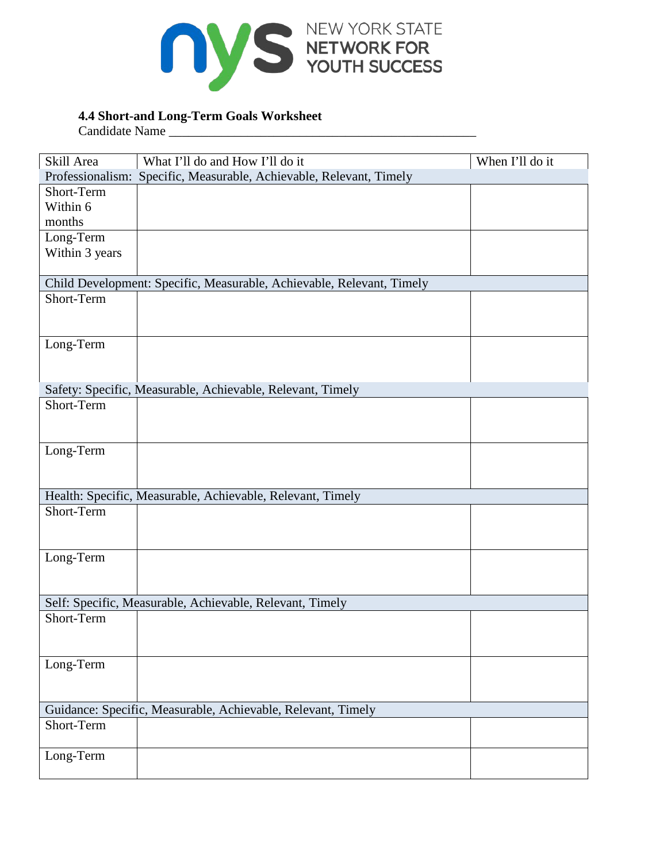

# **4.4 Short-and Long-Term Goals Worksheet**

Candidate Name \_\_\_\_\_\_\_\_\_\_\_\_\_\_\_\_\_\_\_\_\_\_\_\_\_\_\_\_\_\_\_\_\_\_\_\_\_\_\_\_\_\_\_\_\_\_\_

| Skill Area                                               | What I'll do and How I'll do it                                       | When I'll do it |  |  |  |  |  |
|----------------------------------------------------------|-----------------------------------------------------------------------|-----------------|--|--|--|--|--|
|                                                          | Professionalism: Specific, Measurable, Achievable, Relevant, Timely   |                 |  |  |  |  |  |
| Short-Term                                               |                                                                       |                 |  |  |  |  |  |
| Within 6                                                 |                                                                       |                 |  |  |  |  |  |
| months                                                   |                                                                       |                 |  |  |  |  |  |
| Long-Term                                                |                                                                       |                 |  |  |  |  |  |
| Within 3 years                                           |                                                                       |                 |  |  |  |  |  |
|                                                          |                                                                       |                 |  |  |  |  |  |
|                                                          | Child Development: Specific, Measurable, Achievable, Relevant, Timely |                 |  |  |  |  |  |
| Short-Term                                               |                                                                       |                 |  |  |  |  |  |
|                                                          |                                                                       |                 |  |  |  |  |  |
|                                                          |                                                                       |                 |  |  |  |  |  |
| Long-Term                                                |                                                                       |                 |  |  |  |  |  |
|                                                          |                                                                       |                 |  |  |  |  |  |
|                                                          |                                                                       |                 |  |  |  |  |  |
|                                                          | Safety: Specific, Measurable, Achievable, Relevant, Timely            |                 |  |  |  |  |  |
| Short-Term                                               |                                                                       |                 |  |  |  |  |  |
|                                                          |                                                                       |                 |  |  |  |  |  |
|                                                          |                                                                       |                 |  |  |  |  |  |
| Long-Term                                                |                                                                       |                 |  |  |  |  |  |
|                                                          |                                                                       |                 |  |  |  |  |  |
|                                                          |                                                                       |                 |  |  |  |  |  |
|                                                          | Health: Specific, Measurable, Achievable, Relevant, Timely            |                 |  |  |  |  |  |
| Short-Term                                               |                                                                       |                 |  |  |  |  |  |
|                                                          |                                                                       |                 |  |  |  |  |  |
|                                                          |                                                                       |                 |  |  |  |  |  |
| Long-Term                                                |                                                                       |                 |  |  |  |  |  |
|                                                          |                                                                       |                 |  |  |  |  |  |
|                                                          |                                                                       |                 |  |  |  |  |  |
| Self: Specific, Measurable, Achievable, Relevant, Timely |                                                                       |                 |  |  |  |  |  |
| Short-Term                                               |                                                                       |                 |  |  |  |  |  |
|                                                          |                                                                       |                 |  |  |  |  |  |
|                                                          |                                                                       |                 |  |  |  |  |  |
| Long-Term                                                |                                                                       |                 |  |  |  |  |  |
|                                                          |                                                                       |                 |  |  |  |  |  |
|                                                          |                                                                       |                 |  |  |  |  |  |
|                                                          | Guidance: Specific, Measurable, Achievable, Relevant, Timely          |                 |  |  |  |  |  |
| Short-Term                                               |                                                                       |                 |  |  |  |  |  |
|                                                          |                                                                       |                 |  |  |  |  |  |
| Long-Term                                                |                                                                       |                 |  |  |  |  |  |
|                                                          |                                                                       |                 |  |  |  |  |  |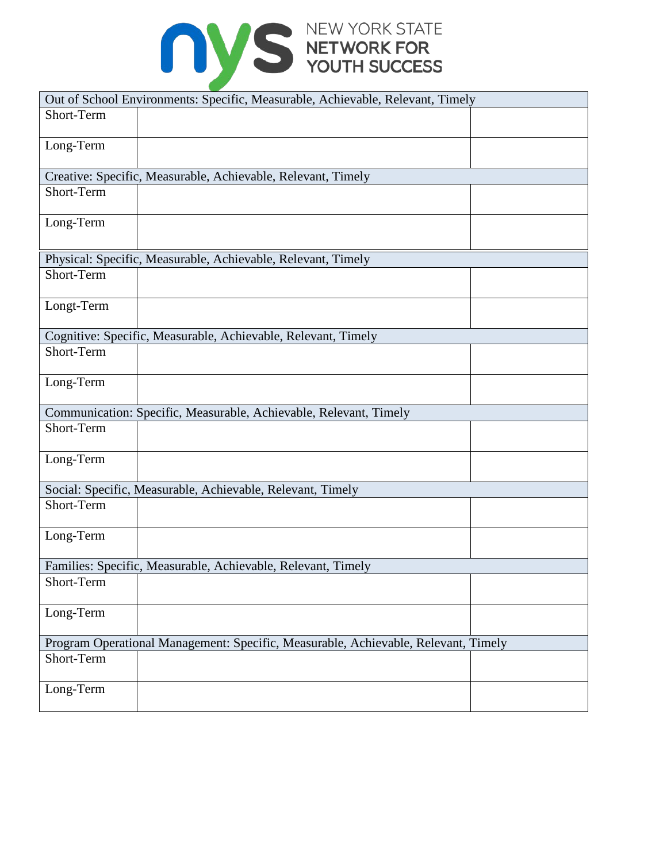

|            | Out of School Environments: Specific, Measurable, Achievable, Relevant, Timely     |  |
|------------|------------------------------------------------------------------------------------|--|
| Short-Term |                                                                                    |  |
| Long-Term  |                                                                                    |  |
|            | Creative: Specific, Measurable, Achievable, Relevant, Timely                       |  |
| Short-Term |                                                                                    |  |
| Long-Term  |                                                                                    |  |
|            | Physical: Specific, Measurable, Achievable, Relevant, Timely                       |  |
| Short-Term |                                                                                    |  |
| Longt-Term |                                                                                    |  |
|            | Cognitive: Specific, Measurable, Achievable, Relevant, Timely                      |  |
| Short-Term |                                                                                    |  |
| Long-Term  |                                                                                    |  |
|            | Communication: Specific, Measurable, Achievable, Relevant, Timely                  |  |
| Short-Term |                                                                                    |  |
| Long-Term  |                                                                                    |  |
|            | Social: Specific, Measurable, Achievable, Relevant, Timely                         |  |
| Short-Term |                                                                                    |  |
| Long-Term  |                                                                                    |  |
|            | Families: Specific, Measurable, Achievable, Relevant, Timely                       |  |
| Short-Term |                                                                                    |  |
| Long-Term  |                                                                                    |  |
|            | Program Operational Management: Specific, Measurable, Achievable, Relevant, Timely |  |
| Short-Term |                                                                                    |  |
| Long-Term  |                                                                                    |  |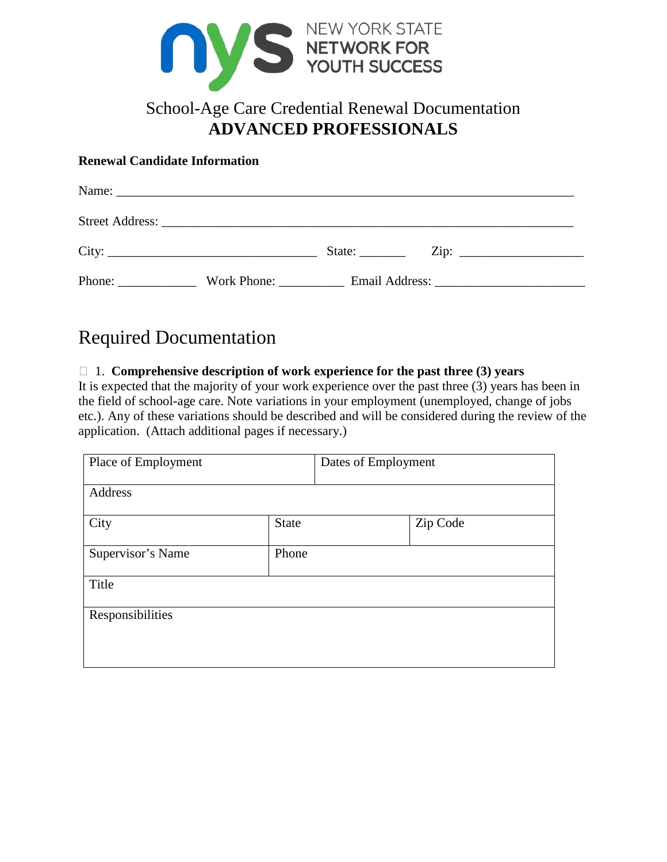

# School-Age Care Credential Renewal Documentation **ADVANCED PROFESSIONALS**

#### **Renewal Candidate Information**

| City:  | State: |                            |
|--------|--------|----------------------------|
| Phone: |        | Work Phone: Email Address: |

# Required Documentation

#### 1. **Comprehensive description of work experience for the past three (3) years**

It is expected that the majority of your work experience over the past three (3) years has been in the field of school-age care. Note variations in your employment (unemployed, change of jobs etc.). Any of these variations should be described and will be considered during the review of the application. (Attach additional pages if necessary.)

| Place of Employment |              | Dates of Employment |          |
|---------------------|--------------|---------------------|----------|
| Address             |              |                     |          |
| City                | <b>State</b> |                     | Zip Code |
| Supervisor's Name   | Phone        |                     |          |
| Title               |              |                     |          |
| Responsibilities    |              |                     |          |
|                     |              |                     |          |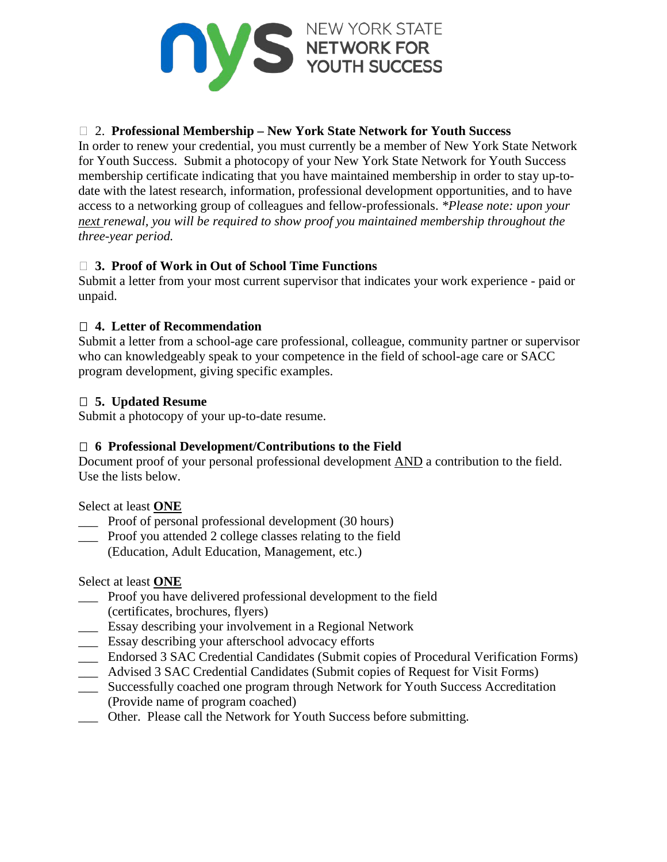

# 2. **Professional Membership – New York State Network for Youth Success**

In order to renew your credential, you must currently be a member of New York State Network for Youth Success. Submit a photocopy of your New York State Network for Youth Success membership certificate indicating that you have maintained membership in order to stay up-todate with the latest research, information, professional development opportunities, and to have access to a networking group of colleagues and fellow-professionals. *\*Please note: upon your next renewal, you will be required to show proof you maintained membership throughout the three-year period.*

# **3. Proof of Work in Out of School Time Functions**

Submit a letter from your most current supervisor that indicates your work experience - paid or unpaid.

# **4. Letter of Recommendation**

Submit a letter from a school-age care professional, colleague, community partner or supervisor who can knowledgeably speak to your competence in the field of school-age care or SACC program development, giving specific examples.

# **5. Updated Resume**

Submit a photocopy of your up-to-date resume.

# **6 Professional Development/Contributions to the Field**

Document proof of your personal professional development AND a contribution to the field. Use the lists below.

Select at least **ONE**

- Proof of personal professional development (30 hours)
- \_\_\_ Proof you attended 2 college classes relating to the field (Education, Adult Education, Management, etc.)

# Select at least **ONE**

- \_\_\_ Proof you have delivered professional development to the field
- (certificates, brochures, flyers)
- \_\_\_ Essay describing your involvement in a Regional Network
- \_\_\_ Essay describing your afterschool advocacy efforts
- \_\_\_ Endorsed 3 SAC Credential Candidates (Submit copies of Procedural Verification Forms)
- \_\_\_ Advised 3 SAC Credential Candidates (Submit copies of Request for Visit Forms)
- \_\_\_ Successfully coached one program through Network for Youth Success Accreditation
- (Provide name of program coached)
- \_\_\_ Other. Please call the Network for Youth Success before submitting.